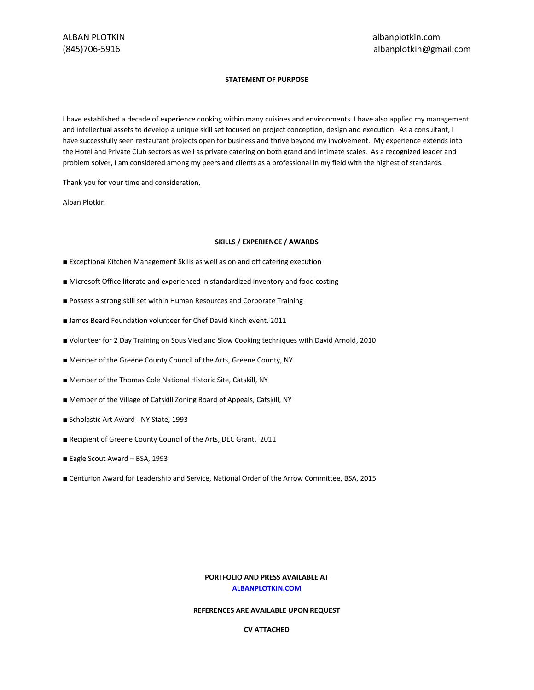# **STATEMENT OF PURPOSE**

I have established a decade of experience cooking within many cuisines and environments. I have also applied my management and intellectual assets to develop a unique skill set focused on project conception, design and execution. As a consultant, I have successfully seen restaurant projects open for business and thrive beyond my involvement. My experience extends into the Hotel and Private Club sectors as well as private catering on both grand and intimate scales. As a recognized leader and problem solver, I am considered among my peers and clients as a professional in my field with the highest of standards.

Thank you for your time and consideration,

Alban Plotkin

## **SKILLS / EXPERIENCE / AWARDS**

- Exceptional Kitchen Management Skills as well as on and off catering execution
- Microsoft Office literate and experienced in standardized inventory and food costing
- Possess a strong skill set within Human Resources and Corporate Training
- James Beard Foundation volunteer for Chef David Kinch event, 2011
- Volunteer for 2 Day Training on Sous Vied and Slow Cooking techniques with David Arnold, 2010
- Member of the Greene County Council of the Arts, Greene County, NY
- Member of the Thomas Cole National Historic Site, Catskill, NY
- Member of the Village of Catskill Zoning Board of Appeals, Catskill, NY
- Scholastic Art Award NY State, 1993
- Recipient of Greene County Council of the Arts, DEC Grant, 2011
- Eagle Scout Award BSA, 1993
- Centurion Award for Leadership and Service, National Order of the Arrow Committee, BSA, 2015

# **PORTFOLIO AND PRESS AVAILABLE AT [ALBANPLOTKIN.COM](http://www.albanplotkin.com/)**

# **REFERENCES ARE AVAILABLE UPON REQUEST**

## **CV ATTACHED**